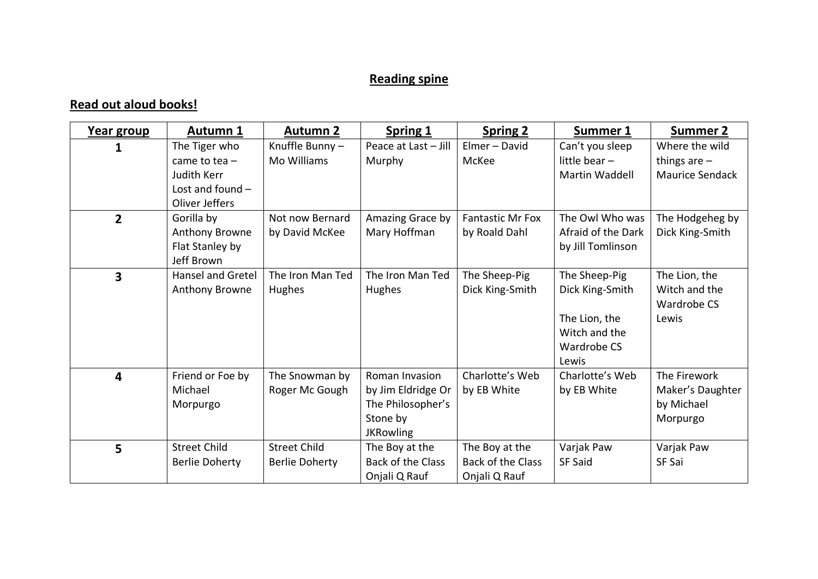## **Reading spine**

## **Read out aloud books!**

| Year group     | <b>Autumn 1</b>                                                                                | <b>Autumn 2</b>                              | <b>Spring 1</b>                                                                           | <b>Spring 2</b>                                      | Summer 1                                                                                   | <b>Summer 2</b>                                            |
|----------------|------------------------------------------------------------------------------------------------|----------------------------------------------|-------------------------------------------------------------------------------------------|------------------------------------------------------|--------------------------------------------------------------------------------------------|------------------------------------------------------------|
|                | The Tiger who<br>came to tea $-$<br><b>Judith Kerr</b><br>Lost and found $-$<br>Oliver Jeffers | Knuffle Bunny-<br>Mo Williams                | Peace at Last - Jill<br>Murphy                                                            | Elmer - David<br>McKee                               | Can't you sleep<br>little bear $-$<br>Martin Waddell                                       | Where the wild<br>things are $-$<br><b>Maurice Sendack</b> |
| $\overline{2}$ | Gorilla by<br>Anthony Browne<br>Flat Stanley by<br>Jeff Brown                                  | Not now Bernard<br>by David McKee            | Amazing Grace by<br>Mary Hoffman                                                          | <b>Fantastic Mr Fox</b><br>by Roald Dahl             | The Owl Who was<br>Afraid of the Dark<br>by Jill Tomlinson                                 | The Hodgeheg by<br>Dick King-Smith                         |
| 3              | <b>Hansel and Gretel</b><br>Anthony Browne                                                     | The Iron Man Ted<br>Hughes                   | The Iron Man Ted<br>Hughes                                                                | The Sheep-Pig<br>Dick King-Smith                     | The Sheep-Pig<br>Dick King-Smith<br>The Lion, the<br>Witch and the<br>Wardrobe CS<br>Lewis | The Lion, the<br>Witch and the<br>Wardrobe CS<br>Lewis     |
| 4              | Friend or Foe by<br>Michael<br>Morpurgo                                                        | The Snowman by<br>Roger Mc Gough             | Roman Invasion<br>by Jim Eldridge Or<br>The Philosopher's<br>Stone by<br><b>JKRowling</b> | Charlotte's Web<br>by EB White                       | Charlotte's Web<br>by EB White                                                             | The Firework<br>Maker's Daughter<br>by Michael<br>Morpurgo |
| 5              | <b>Street Child</b><br><b>Berlie Doherty</b>                                                   | <b>Street Child</b><br><b>Berlie Doherty</b> | The Boy at the<br>Back of the Class<br>Onjali Q Rauf                                      | The Boy at the<br>Back of the Class<br>Onjali Q Rauf | Varjak Paw<br><b>SF Said</b>                                                               | Varjak Paw<br>SF Sai                                       |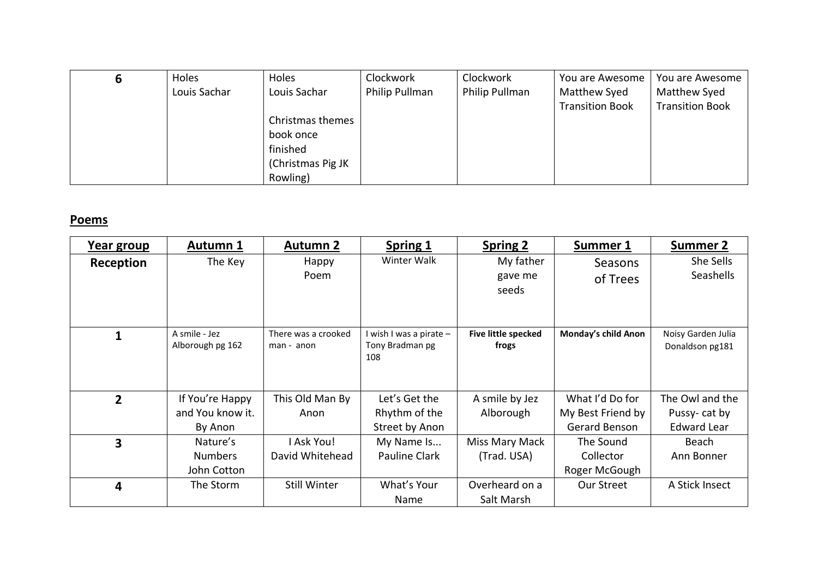| o | Holes        | Holes             | Clockwork      | Clockwork      | You are Awesome        | You are Awesome        |
|---|--------------|-------------------|----------------|----------------|------------------------|------------------------|
|   | Louis Sachar | Louis Sachar      | Philip Pullman | Philip Pullman | Matthew Syed           | Matthew Syed           |
|   |              |                   |                |                | <b>Transition Book</b> | <b>Transition Book</b> |
|   |              | Christmas themes  |                |                |                        |                        |
|   |              | book once         |                |                |                        |                        |
|   |              | finished          |                |                |                        |                        |
|   |              | (Christmas Pig JK |                |                |                        |                        |
|   |              | Rowling)          |                |                |                        |                        |

## **Poems**

| Year group     | <b>Autumn 1</b>                                | <b>Autumn 2</b>                   | <b>Spring 1</b>                                   | <b>Spring 2</b>               | Summer 1                                              | <b>Summer 2</b>                                       |
|----------------|------------------------------------------------|-----------------------------------|---------------------------------------------------|-------------------------------|-------------------------------------------------------|-------------------------------------------------------|
| Reception      | The Key                                        | Happy<br>Poem                     | Winter Walk                                       | My father<br>gave me<br>seeds | Seasons<br>of Trees                                   | She Sells<br>Seashells                                |
|                | A smile - Jez<br>Alborough pg 162              | There was a crooked<br>man - anon | I wish I was a pirate -<br>Tony Bradman pg<br>108 | Five little specked<br>frogs  | Monday's child Anon                                   | Noisy Garden Julia<br>Donaldson pg181                 |
| $\overline{2}$ | If You're Happy<br>and You know it.<br>By Anon | This Old Man By<br>Anon           | Let's Get the<br>Rhythm of the<br>Street by Anon  | A smile by Jez<br>Alborough   | What I'd Do for<br>My Best Friend by<br>Gerard Benson | The Owl and the<br>Pussy-cat by<br><b>Edward Lear</b> |
| 3              | Nature's<br><b>Numbers</b><br>John Cotton      | I Ask You!<br>David Whitehead     | My Name Is<br><b>Pauline Clark</b>                | Miss Mary Mack<br>(Trad. USA) | The Sound<br>Collector<br>Roger McGough               | Beach<br>Ann Bonner                                   |
| 4              | The Storm                                      | Still Winter                      | What's Your<br><b>Name</b>                        | Overheard on a<br>Salt Marsh  | Our Street                                            | A Stick Insect                                        |